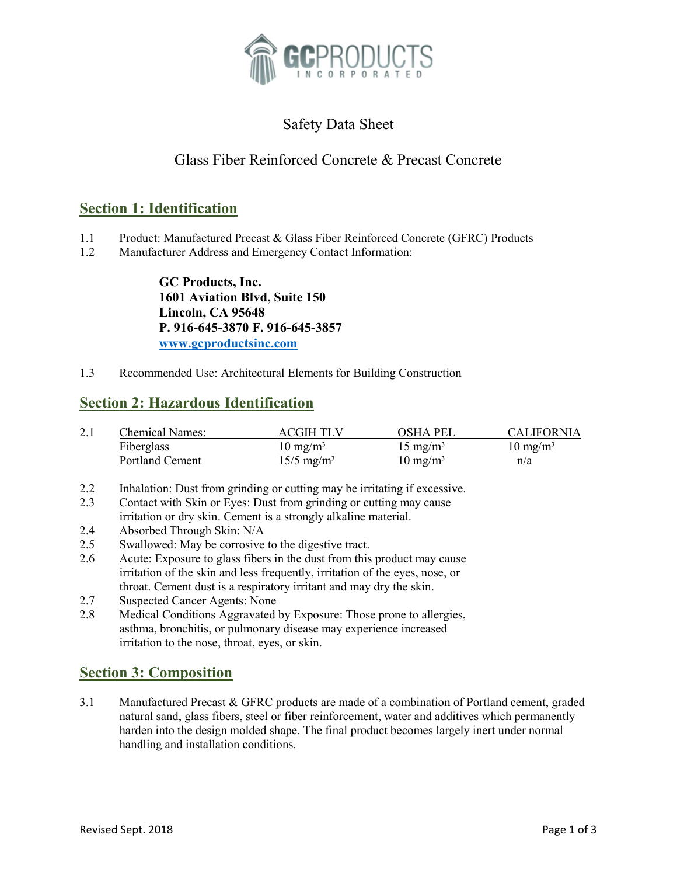

# Safety Data Sheet

## Glass Fiber Reinforced Concrete & Precast Concrete

### Section 1: Identification

- 1.1 Product: Manufactured Precast & Glass Fiber Reinforced Concrete (GFRC) Products
- 1.2 Manufacturer Address and Emergency Contact Information:

GC Products, Inc. 1601 Aviation Blvd, Suite 150 Lincoln, CA 95648 P. 916-645-3870 F. 916-645-3857 www.gcproductsinc.com

1.3 Recommended Use: Architectural Elements for Building Construction

### Section 2: Hazardous Identification

| 2.1 | <b>Chemical Names:</b> | <b>ACGIH TLV</b>         | <b>OSHA PEL</b>     | <b>CALIFORNIA</b>   |
|-----|------------------------|--------------------------|---------------------|---------------------|
|     | Fiberglass             | $10 \text{ mg/m}^3$      | $15 \text{ mg/m}^3$ | $10 \text{ mg/m}^3$ |
|     | Portland Cement        | $15/5$ mg/m <sup>3</sup> | $10 \text{ mg/m}^3$ | n/a                 |

- 2.2 Inhalation: Dust from grinding or cutting may be irritating if excessive.
- 2.3 Contact with Skin or Eyes: Dust from grinding or cutting may cause irritation or dry skin. Cement is a strongly alkaline material.
- 2.4 Absorbed Through Skin: N/A
- 2.5 Swallowed: May be corrosive to the digestive tract.
- 2.6 Acute: Exposure to glass fibers in the dust from this product may cause irritation of the skin and less frequently, irritation of the eyes, nose, or throat. Cement dust is a respiratory irritant and may dry the skin.
- 2.7 Suspected Cancer Agents: None
- 2.8 Medical Conditions Aggravated by Exposure: Those prone to allergies, asthma, bronchitis, or pulmonary disease may experience increased irritation to the nose, throat, eyes, or skin.

### Section 3: Composition

3.1 Manufactured Precast & GFRC products are made of a combination of Portland cement, graded natural sand, glass fibers, steel or fiber reinforcement, water and additives which permanently harden into the design molded shape. The final product becomes largely inert under normal handling and installation conditions.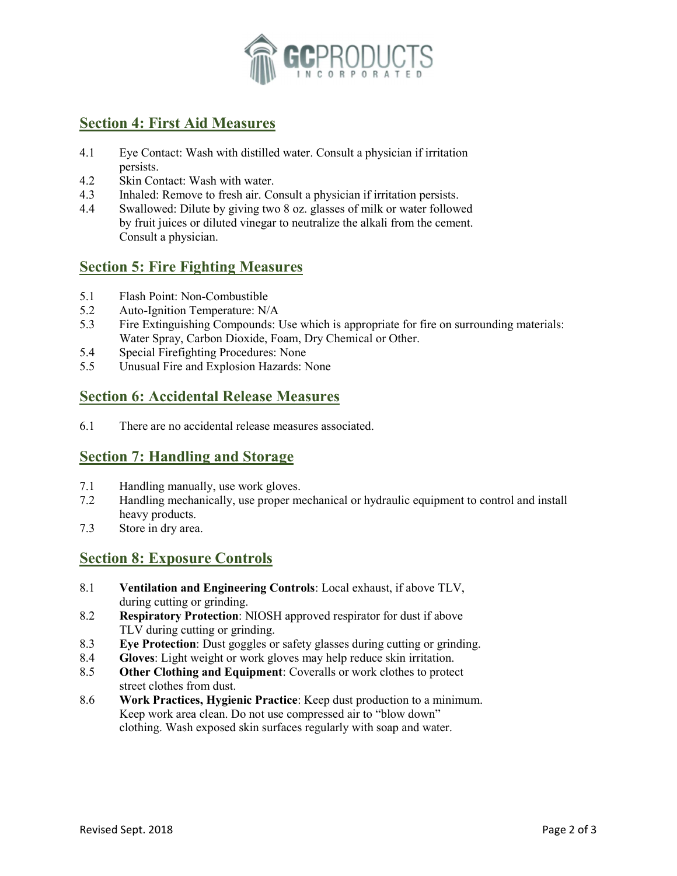

## Section 4: First Aid Measures

- 4.1 Eye Contact: Wash with distilled water. Consult a physician if irritation persists.
- 4.2 Skin Contact: Wash with water.
- 4.3 Inhaled: Remove to fresh air. Consult a physician if irritation persists.
- 4.4 Swallowed: Dilute by giving two 8 oz. glasses of milk or water followed by fruit juices or diluted vinegar to neutralize the alkali from the cement. Consult a physician.

### Section 5: Fire Fighting Measures

- 5.1 Flash Point: Non-Combustible
- 5.2 Auto-Ignition Temperature: N/A
- 5.3 Fire Extinguishing Compounds: Use which is appropriate for fire on surrounding materials: Water Spray, Carbon Dioxide, Foam, Dry Chemical or Other.
- 5.4 Special Firefighting Procedures: None
- 5.5 Unusual Fire and Explosion Hazards: None

### Section 6: Accidental Release Measures

6.1 There are no accidental release measures associated.

### Section 7: Handling and Storage

- 7.1 Handling manually, use work gloves.
- 7.2 Handling mechanically, use proper mechanical or hydraulic equipment to control and install heavy products.
- 7.3 Store in dry area.

## Section 8: Exposure Controls

- 8.1 Ventilation and Engineering Controls: Local exhaust, if above TLV, during cutting or grinding.
- 8.2 Respiratory Protection: NIOSH approved respirator for dust if above TLV during cutting or grinding.
- 8.3 Eye Protection: Dust goggles or safety glasses during cutting or grinding.
- 8.4 Gloves: Light weight or work gloves may help reduce skin irritation.
- 8.5 Other Clothing and Equipment: Coveralls or work clothes to protect street clothes from dust.
- 8.6 Work Practices, Hygienic Practice: Keep dust production to a minimum. Keep work area clean. Do not use compressed air to "blow down" clothing. Wash exposed skin surfaces regularly with soap and water.